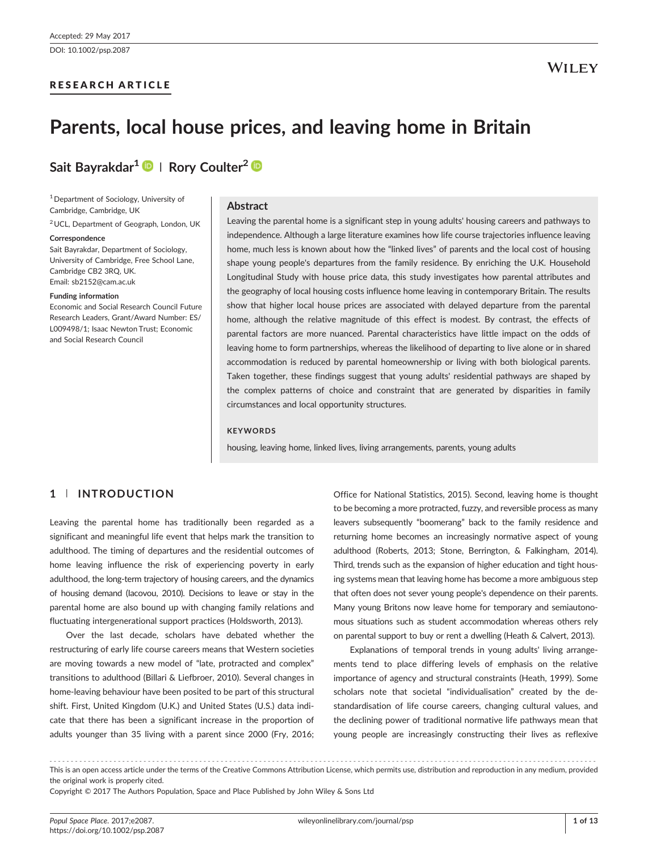## RESEARCH ARTICLE

## **WILEY**

# Parents, local house prices, and leaving home in Britain

## Sait Bayrakdar<sup>1</sup> | Rory Coulter<sup>2</sup> |

<sup>1</sup> Department of Sociology, University of Cambridge, Cambridge, UK

2UCL, Department of Geograph, London, UK

#### **Correspondence**

Sait Bayrakdar, Department of Sociology, University of Cambridge, Free School Lane, Cambridge CB2 3RQ, UK. Email: [sb2152@cam.ac.uk](mailto:sb2152@cam.ac.uk)

#### Funding information

Economic and Social Research Council Future Research Leaders, Grant/Award Number: ES/ L009498/1; Isaac Newton Trust; Economic and Social Research Council

### Abstract

Leaving the parental home is a significant step in young adults' housing careers and pathways to independence. Although a large literature examines how life course trajectories influence leaving home, much less is known about how the "linked lives" of parents and the local cost of housing shape young people's departures from the family residence. By enriching the U.K. Household Longitudinal Study with house price data, this study investigates how parental attributes and the geography of local housing costs influence home leaving in contemporary Britain. The results show that higher local house prices are associated with delayed departure from the parental home, although the relative magnitude of this effect is modest. By contrast, the effects of parental factors are more nuanced. Parental characteristics have little impact on the odds of leaving home to form partnerships, whereas the likelihood of departing to live alone or in shared accommodation is reduced by parental homeownership or living with both biological parents. Taken together, these findings suggest that young adults' residential pathways are shaped by the complex patterns of choice and constraint that are generated by disparities in family circumstances and local opportunity structures.

#### **KEYWORDS**

housing, leaving home, linked lives, living arrangements, parents, young adults

## 1 | INTRODUCTION

Leaving the parental home has traditionally been regarded as a significant and meaningful life event that helps mark the transition to adulthood. The timing of departures and the residential outcomes of home leaving influence the risk of experiencing poverty in early adulthood, the long‐term trajectory of housing careers, and the dynamics of housing demand (Iacovou, 2010). Decisions to leave or stay in the parental home are also bound up with changing family relations and fluctuating intergenerational support practices (Holdsworth, 2013).

Over the last decade, scholars have debated whether the restructuring of early life course careers means that Western societies are moving towards a new model of "late, protracted and complex" transitions to adulthood (Billari & Liefbroer, 2010). Several changes in home‐leaving behaviour have been posited to be part of this structural shift. First, United Kingdom (U.K.) and United States (U.S.) data indicate that there has been a significant increase in the proportion of adults younger than 35 living with a parent since 2000 (Fry, 2016;

Office for National Statistics, 2015). Second, leaving home is thought to be becoming a more protracted, fuzzy, and reversible process as many leavers subsequently "boomerang" back to the family residence and returning home becomes an increasingly normative aspect of young adulthood (Roberts, 2013; Stone, Berrington, & Falkingham, 2014). Third, trends such as the expansion of higher education and tight housing systems mean that leaving home has become a more ambiguous step that often does not sever young people's dependence on their parents. Many young Britons now leave home for temporary and semiautonomous situations such as student accommodation whereas others rely on parental support to buy or rent a dwelling (Heath & Calvert, 2013).

Explanations of temporal trends in young adults' living arrangements tend to place differing levels of emphasis on the relative importance of agency and structural constraints (Heath, 1999). Some scholars note that societal "individualisation" created by the de‐ standardisation of life course careers, changing cultural values, and the declining power of traditional normative life pathways mean that young people are increasingly constructing their lives as reflexive

------------------------------------------------------------------------------------------------------------------------------- - This is an open access article under the terms of the [Creative Commons Attribution](http://creativecommons.org/licenses/by/4.0/) License, which permits use, distribution and reproduction in any medium, provided the original work is properly cited.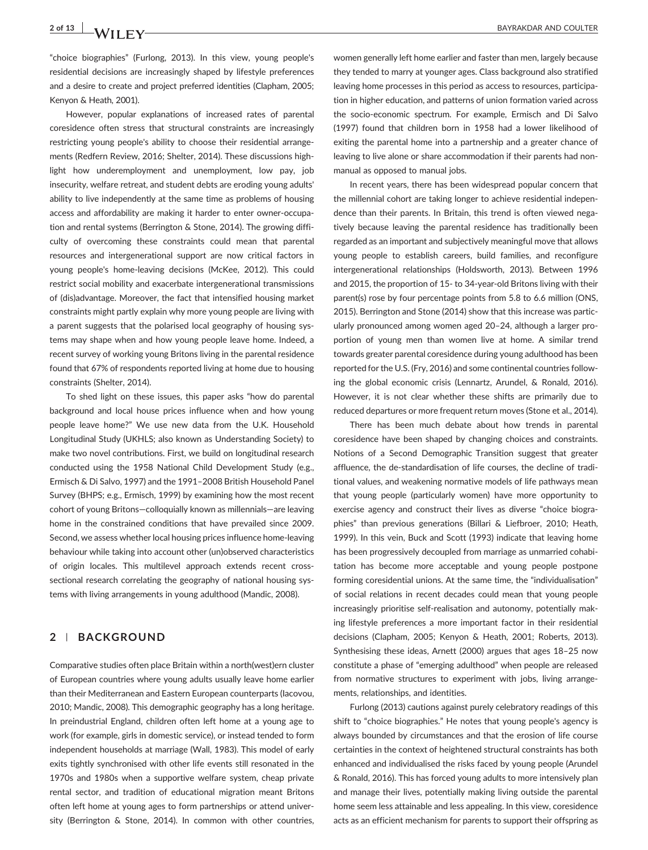## 2 of 13 BAYRAKDAR AND COULTER

"choice biographies" (Furlong, 2013). In this view, young people's residential decisions are increasingly shaped by lifestyle preferences and a desire to create and project preferred identities (Clapham, 2005; Kenyon & Heath, 2001).

However, popular explanations of increased rates of parental coresidence often stress that structural constraints are increasingly restricting young people's ability to choose their residential arrangements (Redfern Review, 2016; Shelter, 2014). These discussions highlight how underemployment and unemployment, low pay, job insecurity, welfare retreat, and student debts are eroding young adults' ability to live independently at the same time as problems of housing access and affordability are making it harder to enter owner‐occupation and rental systems (Berrington & Stone, 2014). The growing difficulty of overcoming these constraints could mean that parental resources and intergenerational support are now critical factors in young people's home‐leaving decisions (McKee, 2012). This could restrict social mobility and exacerbate intergenerational transmissions of (dis)advantage. Moreover, the fact that intensified housing market constraints might partly explain why more young people are living with a parent suggests that the polarised local geography of housing systems may shape when and how young people leave home. Indeed, a recent survey of working young Britons living in the parental residence found that 67% of respondents reported living at home due to housing constraints (Shelter, 2014).

To shed light on these issues, this paper asks "how do parental background and local house prices influence when and how young people leave home?" We use new data from the U.K. Household Longitudinal Study (UKHLS; also known as Understanding Society) to make two novel contributions. First, we build on longitudinal research conducted using the 1958 National Child Development Study (e.g., Ermisch & Di Salvo, 1997) and the 1991–2008 British Household Panel Survey (BHPS; e.g., Ermisch, 1999) by examining how the most recent cohort of young Britons—colloquially known as millennials—are leaving home in the constrained conditions that have prevailed since 2009. Second, we assess whether local housing prices influence home‐leaving behaviour while taking into account other (un)observed characteristics of origin locales. This multilevel approach extends recent crosssectional research correlating the geography of national housing systems with living arrangements in young adulthood (Mandic, 2008).

## 2 | BACKGROUND

Comparative studies often place Britain within a north(west)ern cluster of European countries where young adults usually leave home earlier than their Mediterranean and Eastern European counterparts (Iacovou, 2010; Mandic, 2008). This demographic geography has a long heritage. In preindustrial England, children often left home at a young age to work (for example, girls in domestic service), or instead tended to form independent households at marriage (Wall, 1983). This model of early exits tightly synchronised with other life events still resonated in the 1970s and 1980s when a supportive welfare system, cheap private rental sector, and tradition of educational migration meant Britons often left home at young ages to form partnerships or attend university (Berrington & Stone, 2014). In common with other countries, women generally left home earlier and faster than men, largely because they tended to marry at younger ages. Class background also stratified leaving home processes in this period as access to resources, participation in higher education, and patterns of union formation varied across the socio‐economic spectrum. For example, Ermisch and Di Salvo (1997) found that children born in 1958 had a lower likelihood of exiting the parental home into a partnership and a greater chance of leaving to live alone or share accommodation if their parents had nonmanual as opposed to manual jobs.

In recent years, there has been widespread popular concern that the millennial cohort are taking longer to achieve residential independence than their parents. In Britain, this trend is often viewed negatively because leaving the parental residence has traditionally been regarded as an important and subjectively meaningful move that allows young people to establish careers, build families, and reconfigure intergenerational relationships (Holdsworth, 2013). Between 1996 and 2015, the proportion of 15‐ to 34‐year‐old Britons living with their parent(s) rose by four percentage points from 5.8 to 6.6 million (ONS, 2015). Berrington and Stone (2014) show that this increase was particularly pronounced among women aged 20–24, although a larger proportion of young men than women live at home. A similar trend towards greater parental coresidence during young adulthood has been reported for the U.S. (Fry, 2016) and some continental countries following the global economic crisis (Lennartz, Arundel, & Ronald, 2016). However, it is not clear whether these shifts are primarily due to reduced departures or more frequent return moves (Stone et al., 2014).

There has been much debate about how trends in parental coresidence have been shaped by changing choices and constraints. Notions of a Second Demographic Transition suggest that greater affluence, the de‐standardisation of life courses, the decline of traditional values, and weakening normative models of life pathways mean that young people (particularly women) have more opportunity to exercise agency and construct their lives as diverse "choice biographies" than previous generations (Billari & Liefbroer, 2010; Heath, 1999). In this vein, Buck and Scott (1993) indicate that leaving home has been progressively decoupled from marriage as unmarried cohabitation has become more acceptable and young people postpone forming coresidential unions. At the same time, the "individualisation" of social relations in recent decades could mean that young people increasingly prioritise self‐realisation and autonomy, potentially making lifestyle preferences a more important factor in their residential decisions (Clapham, 2005; Kenyon & Heath, 2001; Roberts, 2013). Synthesising these ideas, Arnett (2000) argues that ages 18–25 now constitute a phase of "emerging adulthood" when people are released from normative structures to experiment with jobs, living arrangements, relationships, and identities.

Furlong (2013) cautions against purely celebratory readings of this shift to "choice biographies." He notes that young people's agency is always bounded by circumstances and that the erosion of life course certainties in the context of heightened structural constraints has both enhanced and individualised the risks faced by young people (Arundel & Ronald, 2016). This has forced young adults to more intensively plan and manage their lives, potentially making living outside the parental home seem less attainable and less appealing. In this view, coresidence acts as an efficient mechanism for parents to support their offspring as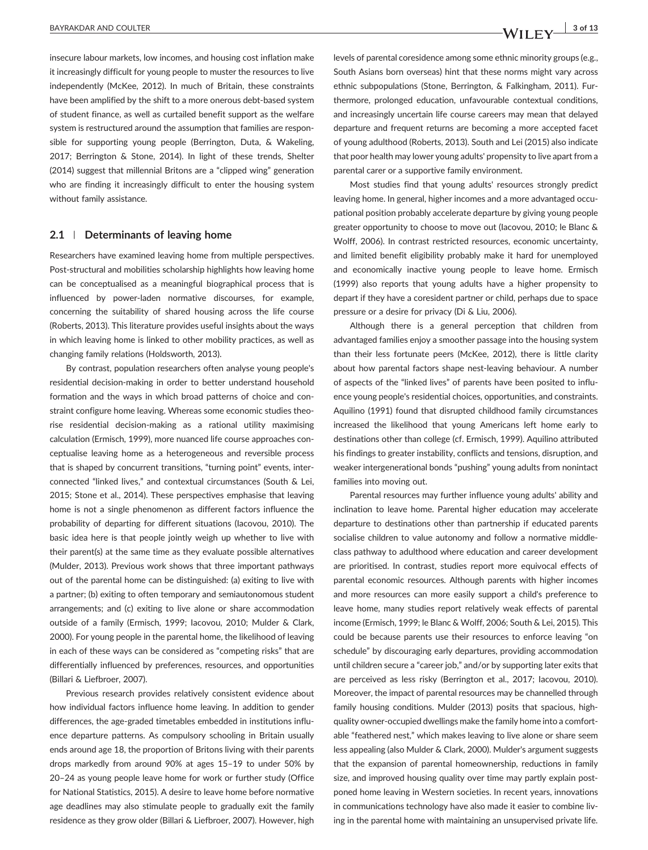insecure labour markets, low incomes, and housing cost inflation make it increasingly difficult for young people to muster the resources to live independently (McKee, 2012). In much of Britain, these constraints have been amplified by the shift to a more onerous debt-based system of student finance, as well as curtailed benefit support as the welfare system is restructured around the assumption that families are responsible for supporting young people (Berrington, Duta, & Wakeling, 2017; Berrington & Stone, 2014). In light of these trends, Shelter (2014) suggest that millennial Britons are a "clipped wing" generation who are finding it increasingly difficult to enter the housing system without family assistance.

### 2.1 | Determinants of leaving home

Researchers have examined leaving home from multiple perspectives. Post-structural and mobilities scholarship highlights how leaving home can be conceptualised as a meaningful biographical process that is influenced by power‐laden normative discourses, for example, concerning the suitability of shared housing across the life course (Roberts, 2013). This literature provides useful insights about the ways in which leaving home is linked to other mobility practices, as well as changing family relations (Holdsworth, 2013).

By contrast, population researchers often analyse young people's residential decision‐making in order to better understand household formation and the ways in which broad patterns of choice and constraint configure home leaving. Whereas some economic studies theorise residential decision‐making as a rational utility maximising calculation (Ermisch, 1999), more nuanced life course approaches conceptualise leaving home as a heterogeneous and reversible process that is shaped by concurrent transitions, "turning point" events, interconnected "linked lives," and contextual circumstances (South & Lei, 2015; Stone et al., 2014). These perspectives emphasise that leaving home is not a single phenomenon as different factors influence the probability of departing for different situations (Iacovou, 2010). The basic idea here is that people jointly weigh up whether to live with their parent(s) at the same time as they evaluate possible alternatives (Mulder, 2013). Previous work shows that three important pathways out of the parental home can be distinguished: (a) exiting to live with a partner; (b) exiting to often temporary and semiautonomous student arrangements; and (c) exiting to live alone or share accommodation outside of a family (Ermisch, 1999; Iacovou, 2010; Mulder & Clark, 2000). For young people in the parental home, the likelihood of leaving in each of these ways can be considered as "competing risks" that are differentially influenced by preferences, resources, and opportunities (Billari & Liefbroer, 2007).

Previous research provides relatively consistent evidence about how individual factors influence home leaving. In addition to gender differences, the age‐graded timetables embedded in institutions influence departure patterns. As compulsory schooling in Britain usually ends around age 18, the proportion of Britons living with their parents drops markedly from around 90% at ages 15–19 to under 50% by 20–24 as young people leave home for work or further study (Office for National Statistics, 2015). A desire to leave home before normative age deadlines may also stimulate people to gradually exit the family residence as they grow older (Billari & Liefbroer, 2007). However, high levels of parental coresidence among some ethnic minority groups (e.g., South Asians born overseas) hint that these norms might vary across ethnic subpopulations (Stone, Berrington, & Falkingham, 2011). Furthermore, prolonged education, unfavourable contextual conditions, and increasingly uncertain life course careers may mean that delayed departure and frequent returns are becoming a more accepted facet of young adulthood (Roberts, 2013). South and Lei (2015) also indicate that poor health may lower young adults' propensity to live apart from a parental carer or a supportive family environment.

Most studies find that young adults' resources strongly predict leaving home. In general, higher incomes and a more advantaged occupational position probably accelerate departure by giving young people greater opportunity to choose to move out (Iacovou, 2010; le Blanc & Wolff, 2006). In contrast restricted resources, economic uncertainty, and limited benefit eligibility probably make it hard for unemployed and economically inactive young people to leave home. Ermisch (1999) also reports that young adults have a higher propensity to depart if they have a coresident partner or child, perhaps due to space pressure or a desire for privacy (Di & Liu, 2006).

Although there is a general perception that children from advantaged families enjoy a smoother passage into the housing system than their less fortunate peers (McKee, 2012), there is little clarity about how parental factors shape nest‐leaving behaviour. A number of aspects of the "linked lives" of parents have been posited to influence young people's residential choices, opportunities, and constraints. Aquilino (1991) found that disrupted childhood family circumstances increased the likelihood that young Americans left home early to destinations other than college (cf. Ermisch, 1999). Aquilino attributed his findings to greater instability, conflicts and tensions, disruption, and weaker intergenerational bonds "pushing" young adults from nonintact families into moving out.

Parental resources may further influence young adults' ability and inclination to leave home. Parental higher education may accelerate departure to destinations other than partnership if educated parents socialise children to value autonomy and follow a normative middle‐ class pathway to adulthood where education and career development are prioritised. In contrast, studies report more equivocal effects of parental economic resources. Although parents with higher incomes and more resources can more easily support a child's preference to leave home, many studies report relatively weak effects of parental income (Ermisch, 1999; le Blanc & Wolff, 2006; South & Lei, 2015). This could be because parents use their resources to enforce leaving "on schedule" by discouraging early departures, providing accommodation until children secure a "career job," and/or by supporting later exits that are perceived as less risky (Berrington et al., 2017; Iacovou, 2010). Moreover, the impact of parental resources may be channelled through family housing conditions. Mulder (2013) posits that spacious, highquality owner‐occupied dwellings make the family home into a comfortable "feathered nest," which makes leaving to live alone or share seem less appealing (also Mulder & Clark, 2000). Mulder's argument suggests that the expansion of parental homeownership, reductions in family size, and improved housing quality over time may partly explain postponed home leaving in Western societies. In recent years, innovations in communications technology have also made it easier to combine living in the parental home with maintaining an unsupervised private life.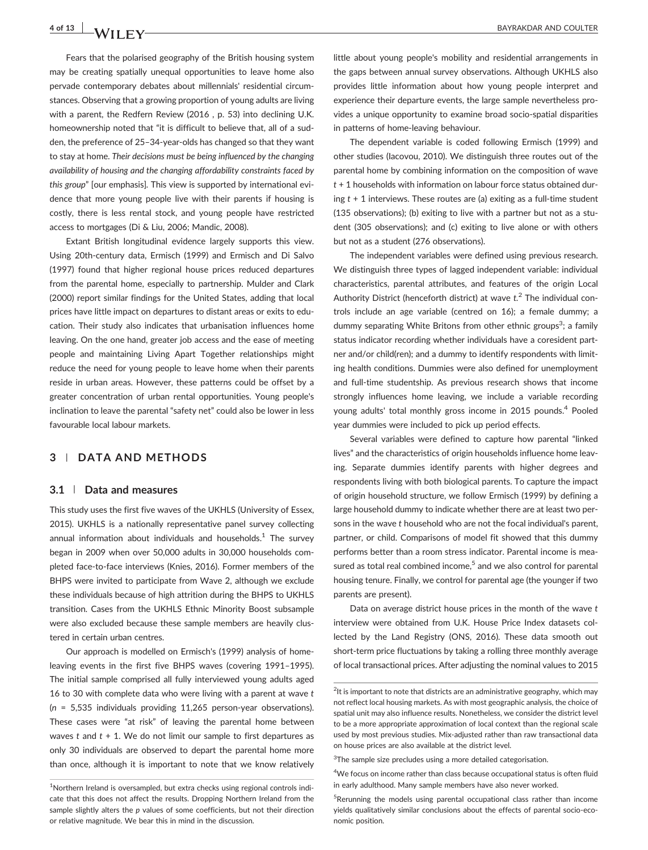# 4 of 13 A A A T I T V COULTER

Fears that the polarised geography of the British housing system may be creating spatially unequal opportunities to leave home also pervade contemporary debates about millennials' residential circumstances. Observing that a growing proportion of young adults are living with a parent, the Redfern Review (2016 , p. 53) into declining U.K. homeownership noted that "it is difficult to believe that, all of a sudden, the preference of 25–34‐year‐olds has changed so that they want to stay at home. Their decisions must be being influenced by the changing availability of housing and the changing affordability constraints faced by this group" [our emphasis]. This view is supported by international evidence that more young people live with their parents if housing is costly, there is less rental stock, and young people have restricted access to mortgages (Di & Liu, 2006; Mandic, 2008).

Extant British longitudinal evidence largely supports this view. Using 20th‐century data, Ermisch (1999) and Ermisch and Di Salvo (1997) found that higher regional house prices reduced departures from the parental home, especially to partnership. Mulder and Clark (2000) report similar findings for the United States, adding that local prices have little impact on departures to distant areas or exits to education. Their study also indicates that urbanisation influences home leaving. On the one hand, greater job access and the ease of meeting people and maintaining Living Apart Together relationships might reduce the need for young people to leave home when their parents reside in urban areas. However, these patterns could be offset by a greater concentration of urban rental opportunities. Young people's inclination to leave the parental "safety net" could also be lower in less favourable local labour markets.

## 3 | DATA AND METHODS

## 3.1 | Data and measures

This study uses the first five waves of the UKHLS (University of Essex, 2015). UKHLS is a nationally representative panel survey collecting annual information about individuals and households. $1$  The survey began in 2009 when over 50,000 adults in 30,000 households completed face-to-face interviews (Knies, 2016). Former members of the BHPS were invited to participate from Wave 2, although we exclude these individuals because of high attrition during the BHPS to UKHLS transition. Cases from the UKHLS Ethnic Minority Boost subsample were also excluded because these sample members are heavily clustered in certain urban centres.

Our approach is modelled on Ermisch's (1999) analysis of home‐ leaving events in the first five BHPS waves (covering 1991–1995). The initial sample comprised all fully interviewed young adults aged 16 to 30 with complete data who were living with a parent at wave t ( $n = 5,535$  individuals providing 11,265 person-year observations). These cases were "at risk" of leaving the parental home between waves  $t$  and  $t + 1$ . We do not limit our sample to first departures as only 30 individuals are observed to depart the parental home more than once, although it is important to note that we know relatively little about young people's mobility and residential arrangements in the gaps between annual survey observations. Although UKHLS also provides little information about how young people interpret and experience their departure events, the large sample nevertheless provides a unique opportunity to examine broad socio‐spatial disparities in patterns of home‐leaving behaviour.

The dependent variable is coded following Ermisch (1999) and other studies (Iacovou, 2010). We distinguish three routes out of the parental home by combining information on the composition of wave  $t + 1$  households with information on labour force status obtained during  $t + 1$  interviews. These routes are (a) exiting as a full-time student (135 observations); (b) exiting to live with a partner but not as a student (305 observations); and (c) exiting to live alone or with others but not as a student (276 observations).

The independent variables were defined using previous research. We distinguish three types of lagged independent variable: individual characteristics, parental attributes, and features of the origin Local Authority District (henceforth district) at wave  $t<sup>2</sup>$  The individual controls include an age variable (centred on 16); a female dummy; a dummy separating White Britons from other ethnic groups<sup>3</sup>; a family status indicator recording whether individuals have a coresident partner and/or child(ren); and a dummy to identify respondents with limiting health conditions. Dummies were also defined for unemployment and full-time studentship. As previous research shows that income strongly influences home leaving, we include a variable recording young adults' total monthly gross income in 2015 pounds.<sup>4</sup> Pooled year dummies were included to pick up period effects.

Several variables were defined to capture how parental "linked lives" and the characteristics of origin households influence home leaving. Separate dummies identify parents with higher degrees and respondents living with both biological parents. To capture the impact of origin household structure, we follow Ermisch (1999) by defining a large household dummy to indicate whether there are at least two persons in the wave t household who are not the focal individual's parent, partner, or child. Comparisons of model fit showed that this dummy performs better than a room stress indicator. Parental income is measured as total real combined income,<sup>5</sup> and we also control for parental housing tenure. Finally, we control for parental age (the younger if two parents are present).

Data on average district house prices in the month of the wave t interview were obtained from U.K. House Price Index datasets collected by the Land Registry (ONS, 2016). These data smooth out short-term price fluctuations by taking a rolling three monthly average of local transactional prices. After adjusting the nominal values to 2015

<sup>&</sup>lt;sup>1</sup>Northern Ireland is oversampled, but extra checks using regional controls indicate that this does not affect the results. Dropping Northern Ireland from the sample slightly alters the  $p$  values of some coefficients, but not their direction or relative magnitude. We bear this in mind in the discussion.

 $^{2}$ It is important to note that districts are an administrative geography, which may not reflect local housing markets. As with most geographic analysis, the choice of spatial unit may also influence results. Nonetheless, we consider the district level to be a more appropriate approximation of local context than the regional scale used by most previous studies. Mix‐adjusted rather than raw transactional data on house prices are also available at the district level.

 $3$ The sample size precludes using a more detailed categorisation.

<sup>&</sup>lt;sup>4</sup>We focus on income rather than class because occupational status is often fluid in early adulthood. Many sample members have also never worked.

<sup>&</sup>lt;sup>5</sup>Rerunning the models using parental occupational class rather than income yields qualitatively similar conclusions about the effects of parental socio‐economic position.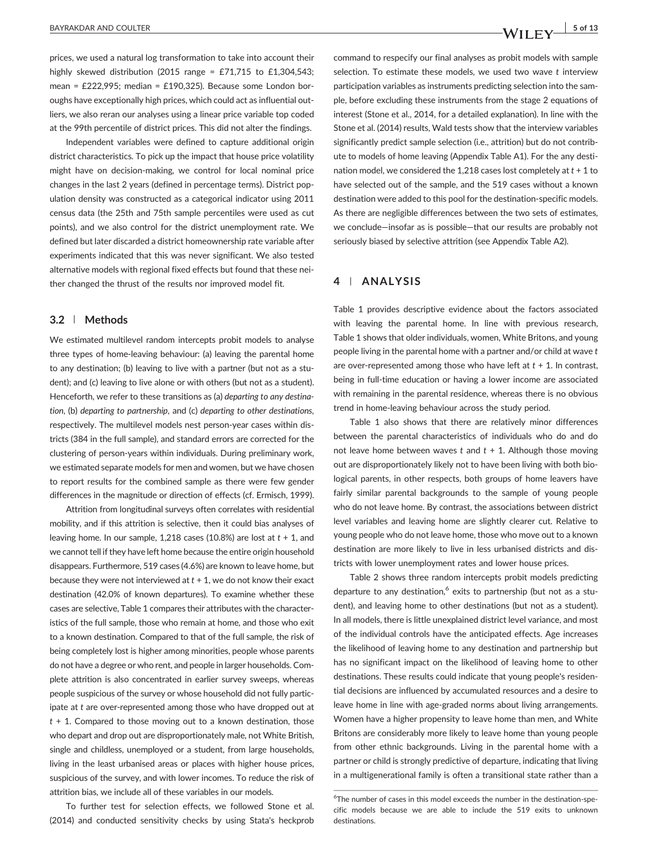prices, we used a natural log transformation to take into account their highly skewed distribution (2015 range =  $£71,715$  to £1,304,543; mean = £222,995; median = £190,325). Because some London boroughs have exceptionally high prices, which could act as influential outliers, we also reran our analyses using a linear price variable top coded at the 99th percentile of district prices. This did not alter the findings.

Independent variables were defined to capture additional origin district characteristics. To pick up the impact that house price volatility might have on decision‐making, we control for local nominal price changes in the last 2 years (defined in percentage terms). District population density was constructed as a categorical indicator using 2011 census data (the 25th and 75th sample percentiles were used as cut points), and we also control for the district unemployment rate. We defined but later discarded a district homeownership rate variable after experiments indicated that this was never significant. We also tested alternative models with regional fixed effects but found that these neither changed the thrust of the results nor improved model fit.

### 3.2 | Methods

We estimated multilevel random intercepts probit models to analyse three types of home‐leaving behaviour: (a) leaving the parental home to any destination; (b) leaving to live with a partner (but not as a student); and (c) leaving to live alone or with others (but not as a student). Henceforth, we refer to these transitions as (a) departing to any destination, (b) departing to partnership, and (c) departing to other destinations, respectively. The multilevel models nest person‐year cases within districts (384 in the full sample), and standard errors are corrected for the clustering of person‐years within individuals. During preliminary work, we estimated separate models for men and women, but we have chosen to report results for the combined sample as there were few gender differences in the magnitude or direction of effects (cf. Ermisch, 1999).

Attrition from longitudinal surveys often correlates with residential mobility, and if this attrition is selective, then it could bias analyses of leaving home. In our sample, 1,218 cases (10.8%) are lost at  $t + 1$ , and we cannot tell if they have left home because the entire origin household disappears. Furthermore, 519 cases (4.6%) are known to leave home, but because they were not interviewed at  $t + 1$ , we do not know their exact destination (42.0% of known departures). To examine whether these cases are selective, Table 1 compares their attributes with the characteristics of the full sample, those who remain at home, and those who exit to a known destination. Compared to that of the full sample, the risk of being completely lost is higher among minorities, people whose parents do not have a degree or who rent, and people in larger households. Complete attrition is also concentrated in earlier survey sweeps, whereas people suspicious of the survey or whose household did not fully participate at t are over-represented among those who have dropped out at  $t + 1$ . Compared to those moving out to a known destination, those who depart and drop out are disproportionately male, not White British, single and childless, unemployed or a student, from large households, living in the least urbanised areas or places with higher house prices, suspicious of the survey, and with lower incomes. To reduce the risk of attrition bias, we include all of these variables in our models.

To further test for selection effects, we followed Stone et al. (2014) and conducted sensitivity checks by using Stata's heckprob command to respecify our final analyses as probit models with sample selection. To estimate these models, we used two wave t interview participation variables as instruments predicting selection into the sample, before excluding these instruments from the stage 2 equations of interest (Stone et al., 2014, for a detailed explanation). In line with the Stone et al. (2014) results, Wald tests show that the interview variables significantly predict sample selection (i.e., attrition) but do not contribute to models of home leaving (Appendix Table A1). For the any destination model, we considered the 1.218 cases lost completely at  $t + 1$  to have selected out of the sample, and the 519 cases without a known destination were added to this pool for the destination‐specific models. As there are negligible differences between the two sets of estimates, we conclude—insofar as is possible—that our results are probably not seriously biased by selective attrition (see Appendix Table A2).

### 4 | ANALYSIS

Table 1 provides descriptive evidence about the factors associated with leaving the parental home. In line with previous research, Table 1 shows that older individuals, women, White Britons, and young people living in the parental home with a partner and/or child at wave t are over-represented among those who have left at  $t + 1$ . In contrast, being in full-time education or having a lower income are associated with remaining in the parental residence, whereas there is no obvious trend in home‐leaving behaviour across the study period.

Table 1 also shows that there are relatively minor differences between the parental characteristics of individuals who do and do not leave home between waves t and  $t + 1$ . Although those moving out are disproportionately likely not to have been living with both biological parents, in other respects, both groups of home leavers have fairly similar parental backgrounds to the sample of young people who do not leave home. By contrast, the associations between district level variables and leaving home are slightly clearer cut. Relative to young people who do not leave home, those who move out to a known destination are more likely to live in less urbanised districts and districts with lower unemployment rates and lower house prices.

Table 2 shows three random intercepts probit models predicting departure to any destination, $6$  exits to partnership (but not as a student), and leaving home to other destinations (but not as a student). In all models, there is little unexplained district level variance, and most of the individual controls have the anticipated effects. Age increases the likelihood of leaving home to any destination and partnership but has no significant impact on the likelihood of leaving home to other destinations. These results could indicate that young people's residential decisions are influenced by accumulated resources and a desire to leave home in line with age‐graded norms about living arrangements. Women have a higher propensity to leave home than men, and White Britons are considerably more likely to leave home than young people from other ethnic backgrounds. Living in the parental home with a partner or child is strongly predictive of departure, indicating that living in a multigenerational family is often a transitional state rather than a

<sup>&</sup>lt;sup>6</sup>The number of cases in this model exceeds the number in the destination-specific models because we are able to include the 519 exits to unknown destinations.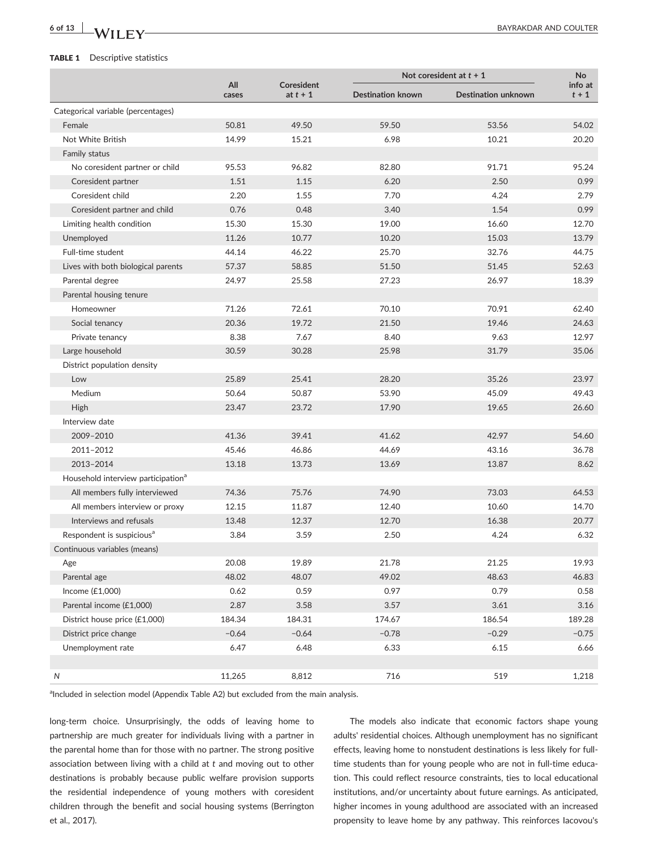#### TABLE 1 Descriptive statistics

|                                                |              |                                 |                          | Not coresident at $t + 1$  |                    |  |  |  |
|------------------------------------------------|--------------|---------------------------------|--------------------------|----------------------------|--------------------|--|--|--|
|                                                | All<br>cases | <b>Coresident</b><br>at $t + 1$ | <b>Destination known</b> | <b>Destination unknown</b> | info at<br>$t + 1$ |  |  |  |
| Categorical variable (percentages)             |              |                                 |                          |                            |                    |  |  |  |
| Female                                         | 50.81        | 49.50                           | 59.50                    | 53.56                      | 54.02              |  |  |  |
| Not White British                              | 14.99        | 15.21                           | 6.98                     | 10.21                      | 20.20              |  |  |  |
| <b>Family status</b>                           |              |                                 |                          |                            |                    |  |  |  |
| No coresident partner or child                 | 95.53        | 96.82                           | 82.80                    | 91.71                      | 95.24              |  |  |  |
| Coresident partner                             | 1.51         | 1.15                            | 6.20                     | 2.50                       | 0.99               |  |  |  |
| Coresident child                               | 2.20         | 1.55                            | 7.70                     | 4.24                       | 2.79               |  |  |  |
| Coresident partner and child                   | 0.76         | 0.48                            | 3.40                     | 1.54                       | 0.99               |  |  |  |
| Limiting health condition                      | 15.30        | 15.30                           | 19.00                    | 16.60                      | 12.70              |  |  |  |
| Unemployed                                     | 11.26        | 10.77                           | 10.20                    | 15.03                      | 13.79              |  |  |  |
| Full-time student                              | 44.14        | 46.22                           | 25.70                    | 32.76                      | 44.75              |  |  |  |
| Lives with both biological parents             | 57.37        | 58.85                           | 51.50                    | 51.45                      | 52.63              |  |  |  |
| Parental degree                                | 24.97        | 25.58                           | 27.23                    | 26.97                      | 18.39              |  |  |  |
| Parental housing tenure                        |              |                                 |                          |                            |                    |  |  |  |
| Homeowner                                      | 71.26        | 72.61                           | 70.10                    | 70.91                      | 62.40              |  |  |  |
| Social tenancy                                 | 20.36        | 19.72                           | 21.50                    | 19.46                      | 24.63              |  |  |  |
| Private tenancy                                | 8.38         | 7.67                            | 8.40                     | 9.63                       | 12.97              |  |  |  |
| Large household                                | 30.59        | 30.28                           | 25.98                    | 31.79                      | 35.06              |  |  |  |
| District population density                    |              |                                 |                          |                            |                    |  |  |  |
| Low                                            | 25.89        | 25.41                           | 28.20                    | 35.26                      | 23.97              |  |  |  |
| Medium                                         | 50.64        | 50.87                           | 53.90                    | 45.09                      | 49.43              |  |  |  |
| High                                           | 23.47        | 23.72                           | 17.90                    | 19.65                      | 26.60              |  |  |  |
| Interview date                                 |              |                                 |                          |                            |                    |  |  |  |
| 2009-2010                                      | 41.36        | 39.41                           | 41.62                    | 42.97                      | 54.60              |  |  |  |
| 2011-2012                                      | 45.46        | 46.86                           | 44.69                    | 43.16                      | 36.78              |  |  |  |
| 2013-2014                                      | 13.18        | 13.73                           | 13.69                    | 13.87                      | 8.62               |  |  |  |
| Household interview participation <sup>a</sup> |              |                                 |                          |                            |                    |  |  |  |
| All members fully interviewed                  | 74.36        | 75.76                           | 74.90                    | 73.03                      | 64.53              |  |  |  |
| All members interview or proxy                 | 12.15        | 11.87                           | 12.40                    | 10.60                      | 14.70              |  |  |  |
| Interviews and refusals                        | 13.48        | 12.37                           | 12.70                    | 16.38                      | 20.77              |  |  |  |
| Respondent is suspicious <sup>a</sup>          | 3.84         | 3.59                            | 2.50                     | 4.24                       | 6.32               |  |  |  |
| Continuous variables (means)                   |              |                                 |                          |                            |                    |  |  |  |
| Age                                            | 20.08        | 19.89                           | 21.78                    | 21.25                      | 19.93              |  |  |  |
| Parental age                                   | 48.02        | 48.07                           | 49.02                    | 48.63                      | 46.83              |  |  |  |
| Income $(E1,000)$                              | 0.62         | 0.59                            | 0.97                     | 0.79                       | 0.58               |  |  |  |
| Parental income (£1,000)                       | 2.87         | 3.58                            | 3.57                     | $3.61$                     | 3.16               |  |  |  |
| District house price (£1,000)                  | 184.34       | 184.31                          | 174.67                   | 186.54                     | 189.28             |  |  |  |
| District price change                          | $-0.64$      | $-0.64$                         | $-0.78$                  | $-0.29$                    | $-0.75$            |  |  |  |
| Unemployment rate                              | 6.47         | 6.48                            | 6.33                     | 6.15                       | 6.66               |  |  |  |
|                                                |              |                                 |                          |                            |                    |  |  |  |
| N                                              | 11,265       | 8,812                           | 716                      | 519                        | 1,218              |  |  |  |

alncluded in selection model (Appendix Table A2) but excluded from the main analysis.

long-term choice. Unsurprisingly, the odds of leaving home to partnership are much greater for individuals living with a partner in the parental home than for those with no partner. The strong positive association between living with a child at  $t$  and moving out to other destinations is probably because public welfare provision supports the residential independence of young mothers with coresident children through the benefit and social housing systems (Berrington et al., 2017).

The models also indicate that economic factors shape young adults' residential choices. Although unemployment has no significant effects, leaving home to nonstudent destinations is less likely for full‐ time students than for young people who are not in full-time education. This could reflect resource constraints, ties to local educational institutions, and/or uncertainty about future earnings. As anticipated, higher incomes in young adulthood are associated with an increased propensity to leave home by any pathway. This reinforces Iacovou's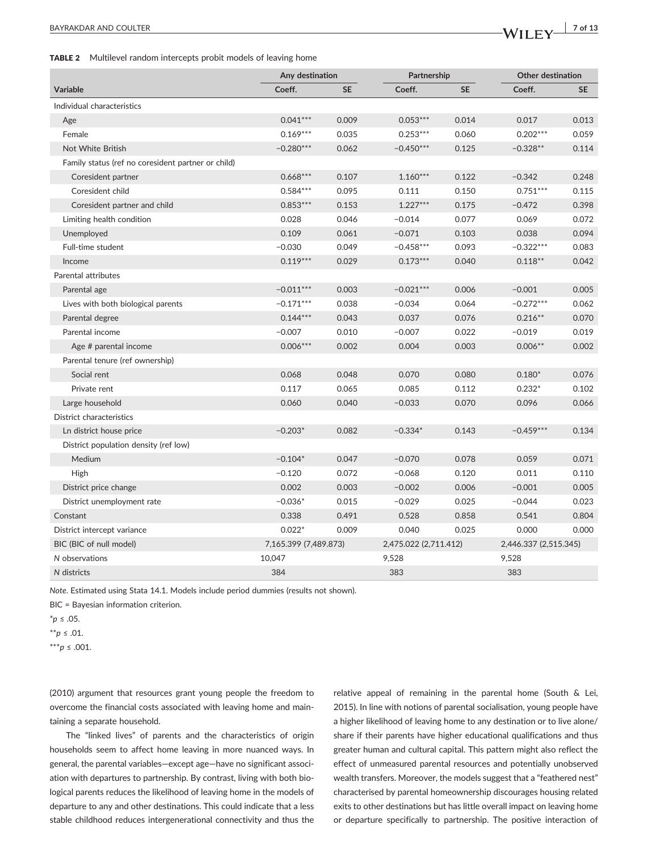#### TABLE 2 Multilevel random intercepts probit models of leaving home

|                                                    | Any destination       |           | Partnership           |           | <b>Other destination</b> |           |  |
|----------------------------------------------------|-----------------------|-----------|-----------------------|-----------|--------------------------|-----------|--|
| <b>Variable</b>                                    | Coeff.                | <b>SE</b> | Coeff.                | <b>SE</b> | Coeff.                   | <b>SE</b> |  |
| Individual characteristics                         |                       |           |                       |           |                          |           |  |
| Age                                                | $0.041***$            | 0.009     | $0.053***$            | 0.014     | 0.017                    | 0.013     |  |
| Female                                             | $0.169***$            | 0.035     | $0.253***$            | 0.060     | $0.202***$               | 0.059     |  |
| Not White British                                  | $-0.280***$           | 0.062     | $-0.450***$           | 0.125     | $-0.328**$               | 0.114     |  |
| Family status (ref no coresident partner or child) |                       |           |                       |           |                          |           |  |
| Coresident partner                                 | $0.668***$            | 0.107     | $1.160***$            | 0.122     | $-0.342$                 | 0.248     |  |
| Coresident child                                   | $0.584***$            | 0.095     | 0.111                 | 0.150     | $0.751***$               | 0.115     |  |
| Coresident partner and child                       | $0.853***$            | 0.153     | $1.227***$            | 0.175     | $-0.472$                 | 0.398     |  |
| Limiting health condition                          | 0.028                 | 0.046     | $-0.014$              | 0.077     | 0.069                    | 0.072     |  |
| Unemployed                                         | 0.109                 | 0.061     | $-0.071$              | 0.103     | 0.038                    | 0.094     |  |
| Full-time student                                  | $-0.030$              | 0.049     | $-0.458***$           | 0.093     | $-0.322***$              | 0.083     |  |
| Income                                             | $0.119***$            | 0.029     | $0.173***$            | 0.040     | $0.118**$                | 0.042     |  |
| <b>Parental attributes</b>                         |                       |           |                       |           |                          |           |  |
| Parental age                                       | $-0.011***$           | 0.003     | $-0.021***$           | 0.006     | $-0.001$                 | 0.005     |  |
| Lives with both biological parents                 | $-0.171***$           | 0.038     | $-0.034$              | 0.064     | $-0.272***$              | 0.062     |  |
| Parental degree                                    | $0.144***$            | 0.043     | 0.037                 | 0.076     | $0.216**$                | 0.070     |  |
| Parental income                                    | $-0.007$              | 0.010     | $-0.007$              | 0.022     | $-0.019$                 | 0.019     |  |
| Age # parental income                              | $0.006***$            | 0.002     | 0.004                 | 0.003     | $0.006**$                | 0.002     |  |
| Parental tenure (ref ownership)                    |                       |           |                       |           |                          |           |  |
| Social rent                                        | 0.068                 | 0.048     | 0.070                 | 0.080     | $0.180*$                 | 0.076     |  |
| Private rent                                       | 0.117                 | 0.065     | 0.085                 | 0.112     | $0.232*$                 | 0.102     |  |
| Large household                                    | 0.060                 | 0.040     | $-0.033$              | 0.070     | 0.096                    | 0.066     |  |
| District characteristics                           |                       |           |                       |           |                          |           |  |
| Ln district house price                            | $-0.203*$             | 0.082     | $-0.334*$             | 0.143     | $-0.459***$              | 0.134     |  |
| District population density (ref low)              |                       |           |                       |           |                          |           |  |
| Medium                                             | $-0.104*$             | 0.047     | $-0.070$              | 0.078     | 0.059                    | 0.071     |  |
| High                                               | $-0.120$              | 0.072     | $-0.068$              | 0.120     | 0.011                    | 0.110     |  |
| District price change                              | 0.002                 | 0.003     | $-0.002$              | 0.006     | $-0.001$                 | 0.005     |  |
| District unemployment rate                         | $-0.036*$             | 0.015     | $-0.029$              | 0.025     | $-0.044$                 | 0.023     |  |
| Constant                                           | 0.338                 | 0.491     | 0.528                 | 0.858     | 0.541                    | 0.804     |  |
| District intercept variance                        | $0.022*$              | 0.009     | 0.040                 | 0.025     | 0.000                    | 0.000     |  |
| BIC (BIC of null model)                            | 7,165.399 (7,489.873) |           | 2,475.022 (2,711.412) |           | 2,446.337 (2,515.345)    |           |  |
| N observations                                     | 10,047                |           | 9,528                 |           | 9,528                    |           |  |
| N districts                                        | 384                   |           | 383                   |           | 383                      |           |  |

Note. Estimated using Stata 14.1. Models include period dummies (results not shown).

BIC = Bayesian information criterion.

 $**p* \le .05$ .

\*\*p ≤ .01.

\*\*\*p ≤ .001.

(2010) argument that resources grant young people the freedom to overcome the financial costs associated with leaving home and maintaining a separate household.

The "linked lives" of parents and the characteristics of origin households seem to affect home leaving in more nuanced ways. In general, the parental variables—except age—have no significant association with departures to partnership. By contrast, living with both biological parents reduces the likelihood of leaving home in the models of departure to any and other destinations. This could indicate that a less stable childhood reduces intergenerational connectivity and thus the relative appeal of remaining in the parental home (South & Lei, 2015). In line with notions of parental socialisation, young people have a higher likelihood of leaving home to any destination or to live alone/ share if their parents have higher educational qualifications and thus greater human and cultural capital. This pattern might also reflect the effect of unmeasured parental resources and potentially unobserved wealth transfers. Moreover, the models suggest that a "feathered nest" characterised by parental homeownership discourages housing related exits to other destinations but has little overall impact on leaving home or departure specifically to partnership. The positive interaction of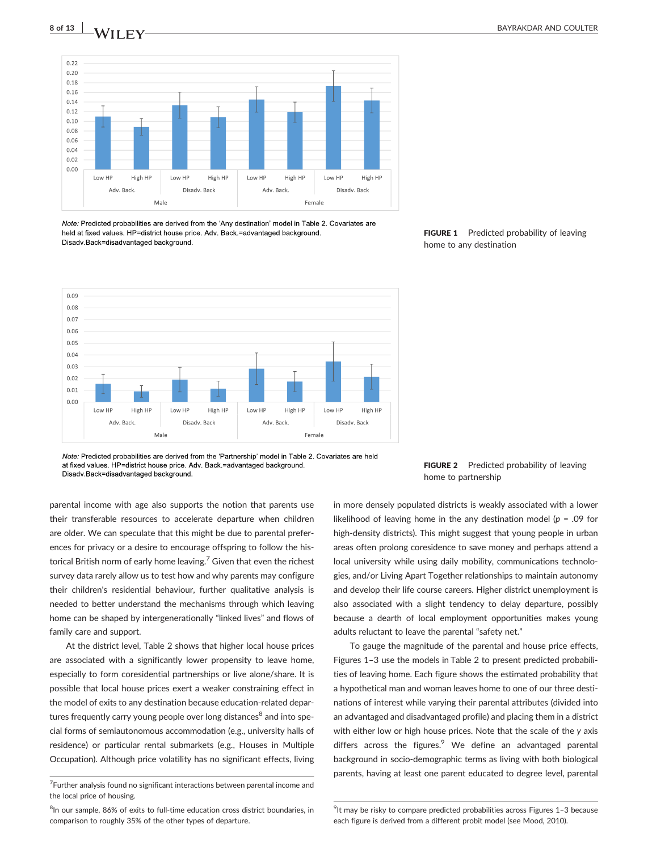8 of 13 BAYRAKDAR AND COULTER



Note: Predicted probabilities are derived from the 'Any destination' model in Table 2. Covariates are held at fixed values. HP=district house price. Adv. Back.=advantaged background. Disady.Back=disadvantaged background.





Note: Predicted probabilities are derived from the 'Partnership' model in Table 2. Covariates are held at fixed values. HP=district house price. Adv. Back.=advantaged background. Disadv.Back=disadvantaged background.

parental income with age also supports the notion that parents use their transferable resources to accelerate departure when children are older. We can speculate that this might be due to parental preferences for privacy or a desire to encourage offspring to follow the historical British norm of early home leaving.<sup>7</sup> Given that even the richest survey data rarely allow us to test how and why parents may configure their children's residential behaviour, further qualitative analysis is needed to better understand the mechanisms through which leaving home can be shaped by intergenerationally "linked lives" and flows of family care and support.

At the district level, Table 2 shows that higher local house prices are associated with a significantly lower propensity to leave home, especially to form coresidential partnerships or live alone/share. It is possible that local house prices exert a weaker constraining effect in the model of exits to any destination because education‐related departures frequently carry young people over long distances<sup>8</sup> and into special forms of semiautonomous accommodation (e.g., university halls of residence) or particular rental submarkets (e.g., Houses in Multiple Occupation). Although price volatility has no significant effects, living

**FIGURE 2** Predicted probability of leaving home to partnership

in more densely populated districts is weakly associated with a lower likelihood of leaving home in the any destination model ( $p = .09$  for high-density districts). This might suggest that young people in urban areas often prolong coresidence to save money and perhaps attend a local university while using daily mobility, communications technologies, and/or Living Apart Together relationships to maintain autonomy and develop their life course careers. Higher district unemployment is also associated with a slight tendency to delay departure, possibly because a dearth of local employment opportunities makes young adults reluctant to leave the parental "safety net."

To gauge the magnitude of the parental and house price effects, Figures 1–3 use the models in Table 2 to present predicted probabilities of leaving home. Each figure shows the estimated probability that a hypothetical man and woman leaves home to one of our three destinations of interest while varying their parental attributes (divided into an advantaged and disadvantaged profile) and placing them in a district with either low or high house prices. Note that the scale of the y axis differs across the figures. $9$  We define an advantaged parental background in socio‐demographic terms as living with both biological parents, having at least one parent educated to degree level, parental

 $7$ Further analysis found no significant interactions between parental income and the local price of housing.

<sup>&</sup>lt;sup>8</sup>In our sample, 86% of exits to full-time education cross district boundaries, in comparison to roughly 35% of the other types of departure.

<sup>&</sup>lt;sup>9</sup>lt may be risky to compare predicted probabilities across Figures 1-3 because each figure is derived from a different probit model (see Mood, 2010).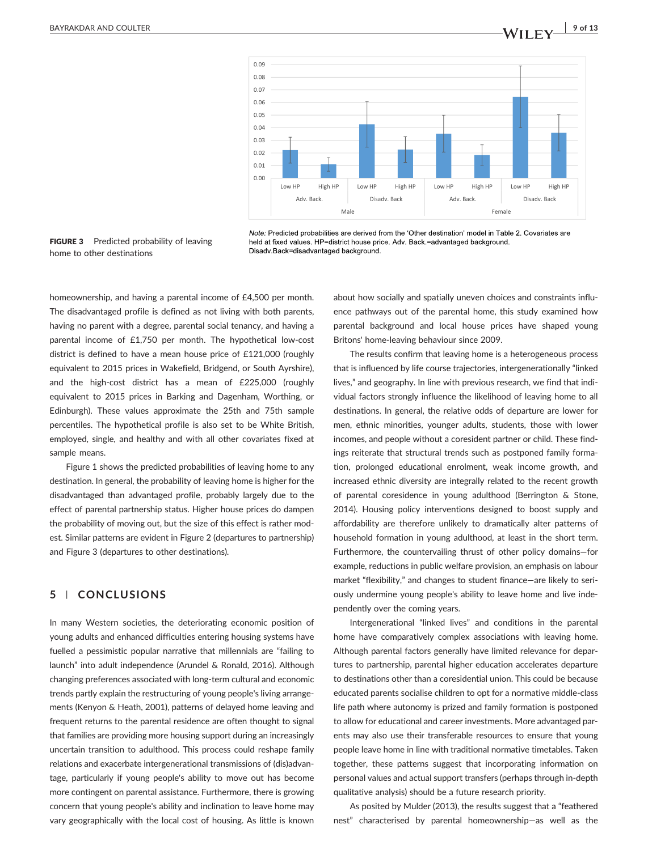

FIGURE 3 Predicted probability of leaving home to other destinations

Note: Predicted probabilities are derived from the 'Other destination' model in Table 2. Covariates are held at fixed values. HP=district house price. Adv. Back.=advantaged background. Disadv.Back=disadvantaged background.

homeownership, and having a parental income of £4,500 per month. The disadvantaged profile is defined as not living with both parents, having no parent with a degree, parental social tenancy, and having a parental income of £1,750 per month. The hypothetical low‐cost district is defined to have a mean house price of £121,000 (roughly equivalent to 2015 prices in Wakefield, Bridgend, or South Ayrshire), and the high-cost district has a mean of £225,000 (roughly equivalent to 2015 prices in Barking and Dagenham, Worthing, or Edinburgh). These values approximate the 25th and 75th sample percentiles. The hypothetical profile is also set to be White British, employed, single, and healthy and with all other covariates fixed at sample means.

Figure 1 shows the predicted probabilities of leaving home to any destination. In general, the probability of leaving home is higher for the disadvantaged than advantaged profile, probably largely due to the effect of parental partnership status. Higher house prices do dampen the probability of moving out, but the size of this effect is rather modest. Similar patterns are evident in Figure 2 (departures to partnership) and Figure 3 (departures to other destinations).

## 5 | CONCLUSIONS

In many Western societies, the deteriorating economic position of young adults and enhanced difficulties entering housing systems have fuelled a pessimistic popular narrative that millennials are "failing to launch" into adult independence (Arundel & Ronald, 2016). Although changing preferences associated with long‐term cultural and economic trends partly explain the restructuring of young people's living arrangements (Kenyon & Heath, 2001), patterns of delayed home leaving and frequent returns to the parental residence are often thought to signal that families are providing more housing support during an increasingly uncertain transition to adulthood. This process could reshape family relations and exacerbate intergenerational transmissions of (dis)advantage, particularly if young people's ability to move out has become more contingent on parental assistance. Furthermore, there is growing concern that young people's ability and inclination to leave home may vary geographically with the local cost of housing. As little is known

about how socially and spatially uneven choices and constraints influence pathways out of the parental home, this study examined how parental background and local house prices have shaped young Britons' home‐leaving behaviour since 2009.

The results confirm that leaving home is a heterogeneous process that is influenced by life course trajectories, intergenerationally "linked lives," and geography. In line with previous research, we find that individual factors strongly influence the likelihood of leaving home to all destinations. In general, the relative odds of departure are lower for men, ethnic minorities, younger adults, students, those with lower incomes, and people without a coresident partner or child. These findings reiterate that structural trends such as postponed family formation, prolonged educational enrolment, weak income growth, and increased ethnic diversity are integrally related to the recent growth of parental coresidence in young adulthood (Berrington & Stone, 2014). Housing policy interventions designed to boost supply and affordability are therefore unlikely to dramatically alter patterns of household formation in young adulthood, at least in the short term. Furthermore, the countervailing thrust of other policy domains—for example, reductions in public welfare provision, an emphasis on labour market "flexibility," and changes to student finance—are likely to seriously undermine young people's ability to leave home and live independently over the coming years.

Intergenerational "linked lives" and conditions in the parental home have comparatively complex associations with leaving home. Although parental factors generally have limited relevance for departures to partnership, parental higher education accelerates departure to destinations other than a coresidential union. This could be because educated parents socialise children to opt for a normative middle‐class life path where autonomy is prized and family formation is postponed to allow for educational and career investments. More advantaged parents may also use their transferable resources to ensure that young people leave home in line with traditional normative timetables. Taken together, these patterns suggest that incorporating information on personal values and actual support transfers (perhaps through in‐depth qualitative analysis) should be a future research priority.

As posited by Mulder (2013), the results suggest that a "feathered nest" characterised by parental homeownership—as well as the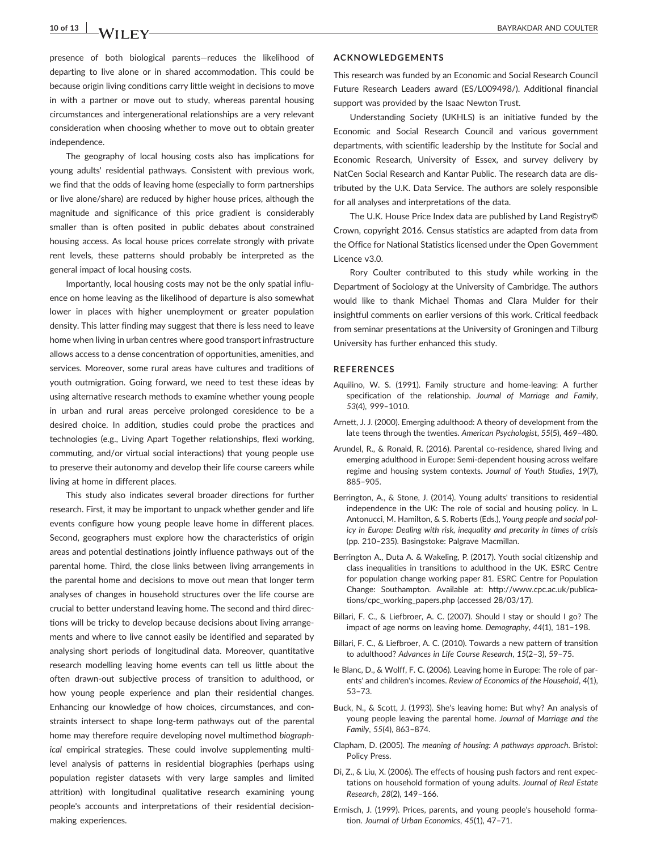# 10 of 13 A A A T R T R Y

presence of both biological parents—reduces the likelihood of departing to live alone or in shared accommodation. This could be because origin living conditions carry little weight in decisions to move in with a partner or move out to study, whereas parental housing circumstances and intergenerational relationships are a very relevant consideration when choosing whether to move out to obtain greater independence.

The geography of local housing costs also has implications for young adults' residential pathways. Consistent with previous work, we find that the odds of leaving home (especially to form partnerships or live alone/share) are reduced by higher house prices, although the magnitude and significance of this price gradient is considerably smaller than is often posited in public debates about constrained housing access. As local house prices correlate strongly with private rent levels, these patterns should probably be interpreted as the general impact of local housing costs.

Importantly, local housing costs may not be the only spatial influence on home leaving as the likelihood of departure is also somewhat lower in places with higher unemployment or greater population density. This latter finding may suggest that there is less need to leave home when living in urban centres where good transport infrastructure allows access to a dense concentration of opportunities, amenities, and services. Moreover, some rural areas have cultures and traditions of youth outmigration. Going forward, we need to test these ideas by using alternative research methods to examine whether young people in urban and rural areas perceive prolonged coresidence to be a desired choice. In addition, studies could probe the practices and technologies (e.g., Living Apart Together relationships, flexi working, commuting, and/or virtual social interactions) that young people use to preserve their autonomy and develop their life course careers while living at home in different places.

This study also indicates several broader directions for further research. First, it may be important to unpack whether gender and life events configure how young people leave home in different places. Second, geographers must explore how the characteristics of origin areas and potential destinations jointly influence pathways out of the parental home. Third, the close links between living arrangements in the parental home and decisions to move out mean that longer term analyses of changes in household structures over the life course are crucial to better understand leaving home. The second and third directions will be tricky to develop because decisions about living arrangements and where to live cannot easily be identified and separated by analysing short periods of longitudinal data. Moreover, quantitative research modelling leaving home events can tell us little about the often drawn‐out subjective process of transition to adulthood, or how young people experience and plan their residential changes. Enhancing our knowledge of how choices, circumstances, and constraints intersect to shape long‐term pathways out of the parental home may therefore require developing novel multimethod biographical empirical strategies. These could involve supplementing multilevel analysis of patterns in residential biographies (perhaps using population register datasets with very large samples and limited attrition) with longitudinal qualitative research examining young people's accounts and interpretations of their residential decisionmaking experiences.

#### ACKNOWLEDGEMENTS

This research was funded by an Economic and Social Research Council Future Research Leaders award (ES/L009498/). Additional financial support was provided by the Isaac Newton Trust.

Understanding Society (UKHLS) is an initiative funded by the Economic and Social Research Council and various government departments, with scientific leadership by the Institute for Social and Economic Research, University of Essex, and survey delivery by NatCen Social Research and Kantar Public. The research data are distributed by the U.K. Data Service. The authors are solely responsible for all analyses and interpretations of the data.

The U.K. House Price Index data are published by Land Registry© Crown, copyright 2016. Census statistics are adapted from data from the Office for National Statistics licensed under the Open Government Licence v3.0.

Rory Coulter contributed to this study while working in the Department of Sociology at the University of Cambridge. The authors would like to thank Michael Thomas and Clara Mulder for their insightful comments on earlier versions of this work. Critical feedback from seminar presentations at the University of Groningen and Tilburg University has further enhanced this study.

#### REFERENCES

- Aquilino, W. S. (1991). Family structure and home‐leaving: A further specification of the relationship. Journal of Marriage and Family, 53(4), 999–1010.
- Arnett, J. J. (2000). Emerging adulthood: A theory of development from the late teens through the twenties. American Psychologist, 55(5), 469–480.
- Arundel, R., & Ronald, R. (2016). Parental co-residence, shared living and emerging adulthood in Europe: Semi‐dependent housing across welfare regime and housing system contexts. Journal of Youth Studies, 19(7), 885–905.
- Berrington, A., & Stone, J. (2014). Young adults' transitions to residential independence in the UK: The role of social and housing policy. In L. Antonucci, M. Hamilton, & S. Roberts (Eds.), Young people and social policy in Europe: Dealing with risk, inequality and precarity in times of crisis (pp. 210–235). Basingstoke: Palgrave Macmillan.
- Berrington A., Duta A. & Wakeling, P. (2017). Youth social citizenship and class inequalities in transitions to adulthood in the UK. ESRC Centre for population change working paper 81. ESRC Centre for Population Change: Southampton. Available at: [http://www.cpc.ac.uk/publica](http://www.cpc.ac.uk/publications/cpc_working_papers.php)[tions/cpc\\_working\\_papers.php](http://www.cpc.ac.uk/publications/cpc_working_papers.php) (accessed 28/03/17).
- Billari, F. C., & Liefbroer, A. C. (2007). Should I stay or should I go? The impact of age norms on leaving home. Demography, 44(1), 181–198.
- Billari, F. C., & Liefbroer, A. C. (2010). Towards a new pattern of transition to adulthood? Advances in Life Course Research, 15(2–3), 59–75.
- le Blanc, D., & Wolff, F. C. (2006). Leaving home in Europe: The role of parents' and children's incomes. Review of Economics of the Household, 4(1), 53–73.
- Buck, N., & Scott, J. (1993). She's leaving home: But why? An analysis of young people leaving the parental home. Journal of Marriage and the Family, 55(4), 863–874.
- Clapham, D. (2005). The meaning of housing: A pathways approach. Bristol: Policy Press.
- Di, Z., & Liu, X. (2006). The effects of housing push factors and rent expectations on household formation of young adults. Journal of Real Estate Research, 28(2), 149–166.
- Ermisch, J. (1999). Prices, parents, and young people's household formation. Journal of Urban Economics, 45(1), 47–71.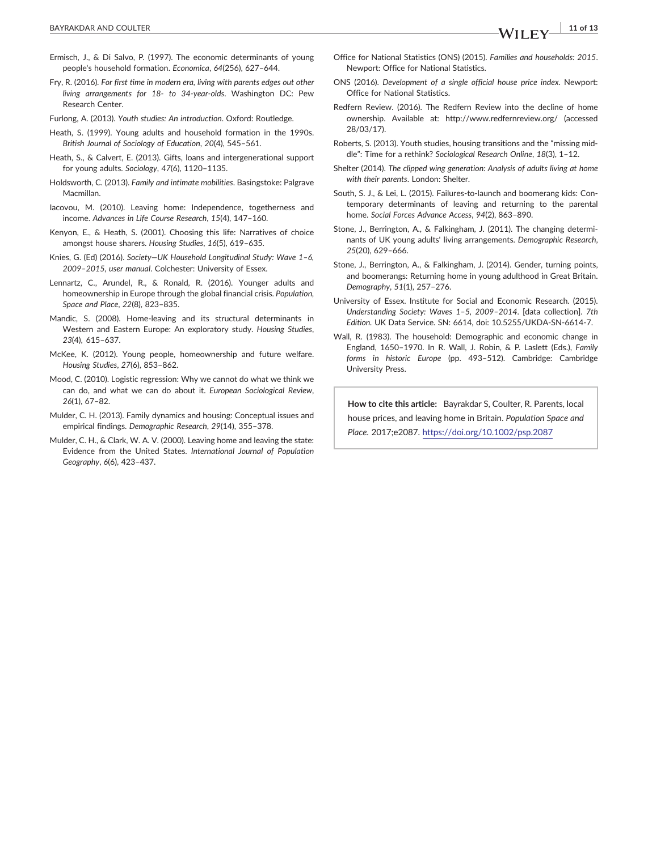- Fry, R. (2016). For first time in modern era, living with parents edges out other living arrangements for 18‐ to 34‐year‐olds. Washington DC: Pew Research Center.
- Furlong, A. (2013). Youth studies: An introduction. Oxford: Routledge.
- Heath, S. (1999). Young adults and household formation in the 1990s. British Journal of Sociology of Education, 20(4), 545–561.
- Heath, S., & Calvert, E. (2013). Gifts, loans and intergenerational support for young adults. Sociology, 47(6), 1120–1135.
- Holdsworth, C. (2013). Family and intimate mobilities. Basingstoke: Palgrave Macmillan.
- Iacovou, M. (2010). Leaving home: Independence, togetherness and income. Advances in Life Course Research, 15(4), 147–160.
- Kenyon, E., & Heath, S. (2001). Choosing this life: Narratives of choice amongst house sharers. Housing Studies, 16(5), 619–635.
- Knies, G. (Ed) (2016). Society—UK Household Longitudinal Study: Wave 1–6, 2009–2015, user manual. Colchester: University of Essex.
- Lennartz, C., Arundel, R., & Ronald, R. (2016). Younger adults and homeownership in Europe through the global financial crisis. Population, Space and Place, 22(8), 823–835.
- Mandic, S. (2008). Home‐leaving and its structural determinants in Western and Eastern Europe: An exploratory study. Housing Studies, 23(4), 615–637.
- McKee, K. (2012). Young people, homeownership and future welfare. Housing Studies, 27(6), 853–862.
- Mood, C. (2010). Logistic regression: Why we cannot do what we think we can do, and what we can do about it. European Sociological Review, 26(1), 67–82.
- Mulder, C. H. (2013). Family dynamics and housing: Conceptual issues and empirical findings. Demographic Research, 29(14), 355–378.
- Mulder, C. H., & Clark, W. A. V. (2000). Leaving home and leaving the state: Evidence from the United States. International Journal of Population Geography, 6(6), 423–437.
- Office for National Statistics (ONS) (2015). Families and households: 2015. Newport: Office for National Statistics.
- ONS (2016). Development of a single official house price index. Newport: Office for National Statistics.
- Redfern Review. (2016). The Redfern Review into the decline of home ownership. Available at:<http://www.redfernreview.org/> (accessed 28/03/17).
- Roberts, S. (2013). Youth studies, housing transitions and the "missing middle": Time for a rethink? Sociological Research Online, 18(3), 1–12.
- Shelter (2014). The clipped wing generation: Analysis of adults living at home with their parents. London: Shelter.
- South. S. J., & Lei, L. (2015). Failures-to-launch and boomerang kids: Contemporary determinants of leaving and returning to the parental home. Social Forces Advance Access, 94(2), 863–890.
- Stone, J., Berrington, A., & Falkingham, J. (2011). The changing determinants of UK young adults' living arrangements. Demographic Research, 25(20), 629–666.
- Stone, J., Berrington, A., & Falkingham, J. (2014). Gender, turning points, and boomerangs: Returning home in young adulthood in Great Britain. Demography, 51(1), 257–276.
- University of Essex. Institute for Social and Economic Research. (2015). Understanding Society: Waves 1–5, 2009–2014. [data collection]. 7th Edition. UK Data Service. SN: 6614, doi: 10.5255/UKDA‐SN‐6614‐7.
- Wall, R. (1983). The household: Demographic and economic change in England, 1650–1970. In R. Wall, J. Robin, & P. Laslett (Eds.), Family forms in historic Europe (pp. 493–512). Cambridge: Cambridge University Press.

How to cite this article: Bayrakdar S, Coulter, R. Parents, local house prices, and leaving home in Britain. Population Space and Place. 2017;e2087. <https://doi.org/10.1002/psp.2087>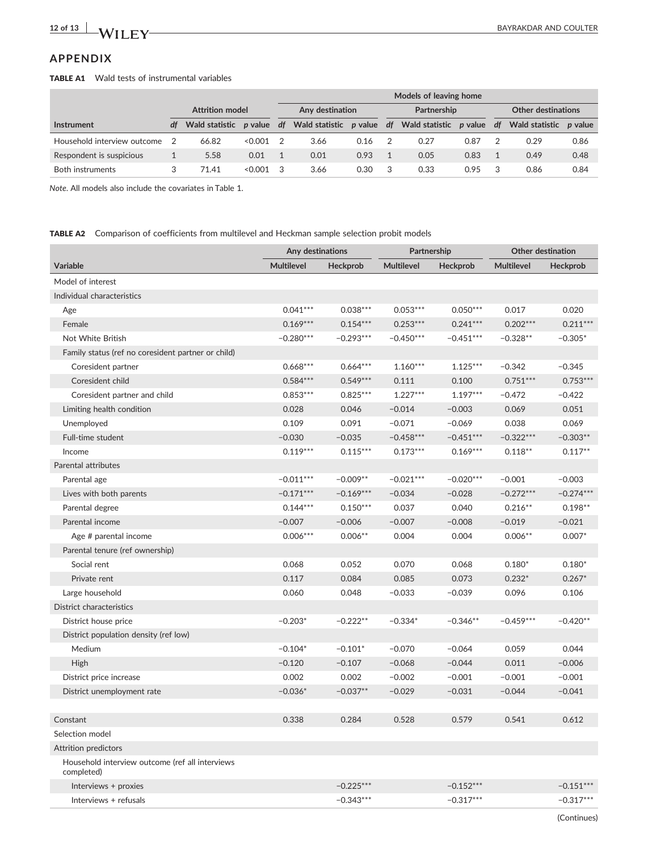## APPENDIX

TABLE A1 Wald tests of instrumental variables

|                             |    |                        |            | Models of leaving home |                       |            |   |                |                   |  |                           |                |  |
|-----------------------------|----|------------------------|------------|------------------------|-----------------------|------------|---|----------------|-------------------|--|---------------------------|----------------|--|
|                             |    | <b>Attrition model</b> |            |                        | Any destination       |            |   | Partnership    |                   |  | <b>Other destinations</b> |                |  |
| <b>Instrument</b>           | df | <b>Wald statistic</b>  | p value df |                        | <b>Wald statistic</b> | p value df |   | Wald statistic | <i>p</i> value df |  | <b>Wald statistic</b>     | <i>p</i> value |  |
| Household interview outcome |    | 66.82                  | < 0.001    |                        | 3.66                  | 0.16       |   | 0.27           | 0.87              |  | 0.29                      | 0.86           |  |
| Respondent is suspicious    |    | 5.58                   | 0.01       |                        | 0.01                  | 0.93       |   | 0.05           | 0.83              |  | 0.49                      | 0.48           |  |
| <b>Both instruments</b>     |    | 71.41                  | < 0.001    | -3                     | 3.66                  | 0.30       | 3 | 0.33           | 0.95              |  | 0.86                      | 0.84           |  |

Note. All models also include the covariates in Table 1.

TABLE A2 Comparison of coefficients from multilevel and Heckman sample selection probit models

|                                                               | Any destinations  |             | Partnership       |             | <b>Other destination</b> |             |  |
|---------------------------------------------------------------|-------------------|-------------|-------------------|-------------|--------------------------|-------------|--|
| <b>Variable</b>                                               | <b>Multilevel</b> | Heckprob    | <b>Multilevel</b> | Heckprob    | <b>Multilevel</b>        | Heckprob    |  |
| Model of interest                                             |                   |             |                   |             |                          |             |  |
| Individual characteristics                                    |                   |             |                   |             |                          |             |  |
| Age                                                           | $0.041***$        | $0.038***$  | $0.053***$        | $0.050***$  | 0.017                    | 0.020       |  |
| Female                                                        | $0.169***$        | $0.154***$  | $0.253***$        | $0.241***$  | $0.202***$               | $0.211***$  |  |
| Not White British                                             | $-0.280***$       | $-0.293***$ | $-0.450***$       | $-0.451***$ | $-0.328**$               | $-0.305*$   |  |
| Family status (ref no coresident partner or child)            |                   |             |                   |             |                          |             |  |
| Coresident partner                                            | $0.668***$        | $0.664***$  | $1.160***$        | $1.125***$  | $-0.342$                 | $-0.345$    |  |
| Coresident child                                              | $0.584***$        | $0.549***$  | 0.111             | 0.100       | $0.751***$               | $0.753***$  |  |
| Coresident partner and child                                  | $0.853***$        | $0.825***$  | $1.227***$        | $1.197***$  | $-0.472$                 | $-0.422$    |  |
| Limiting health condition                                     | 0.028             | 0.046       | $-0.014$          | $-0.003$    | 0.069                    | 0.051       |  |
| Unemployed                                                    | 0.109             | 0.091       | $-0.071$          | $-0.069$    | 0.038                    | 0.069       |  |
| Full-time student                                             | $-0.030$          | $-0.035$    | $-0.458***$       | $-0.451***$ | $-0.322***$              | $-0.303**$  |  |
| Income                                                        | $0.119***$        | $0.115***$  | $0.173***$        | $0.169***$  | $0.118**$                | $0.117**$   |  |
| Parental attributes                                           |                   |             |                   |             |                          |             |  |
| Parental age                                                  | $-0.011***$       | $-0.009**$  | $-0.021***$       | $-0.020***$ | $-0.001$                 | $-0.003$    |  |
| Lives with both parents                                       | $-0.171***$       | $-0.169***$ | $-0.034$          | $-0.028$    | $-0.272***$              | $-0.274***$ |  |
| Parental degree                                               | $0.144***$        | $0.150***$  | 0.037             | 0.040       | $0.216***$               | $0.198**$   |  |
| Parental income                                               | $-0.007$          | $-0.006$    | $-0.007$          | $-0.008$    | $-0.019$                 | $-0.021$    |  |
| Age # parental income                                         | $0.006***$        | $0.006**$   | 0.004             | 0.004       | $0.006***$               | $0.007*$    |  |
| Parental tenure (ref ownership)                               |                   |             |                   |             |                          |             |  |
| Social rent                                                   | 0.068             | 0.052       | 0.070             | 0.068       | $0.180*$                 | $0.180*$    |  |
| Private rent                                                  | 0.117             | 0.084       | 0.085             | 0.073       | $0.232*$                 | $0.267*$    |  |
| Large household                                               | 0.060             | 0.048       | $-0.033$          | $-0.039$    | 0.096                    | 0.106       |  |
| District characteristics                                      |                   |             |                   |             |                          |             |  |
| District house price                                          | $-0.203*$         | $-0.222**$  | $-0.334*$         | $-0.346**$  | $-0.459***$              | $-0.420**$  |  |
| District population density (ref low)                         |                   |             |                   |             |                          |             |  |
| Medium                                                        | $-0.104*$         | $-0.101*$   | $-0.070$          | $-0.064$    | 0.059                    | 0.044       |  |
| High                                                          | $-0.120$          | $-0.107$    | $-0.068$          | $-0.044$    | 0.011                    | $-0.006$    |  |
| District price increase                                       | 0.002             | 0.002       | $-0.002$          | $-0.001$    | $-0.001$                 | $-0.001$    |  |
| District unemployment rate                                    | $-0.036*$         | $-0.037**$  | $-0.029$          | $-0.031$    | $-0.044$                 | $-0.041$    |  |
|                                                               |                   |             |                   |             |                          |             |  |
| Constant                                                      | 0.338             | 0.284       | 0.528             | 0.579       | 0.541                    | 0.612       |  |
| Selection model                                               |                   |             |                   |             |                          |             |  |
| <b>Attrition predictors</b>                                   |                   |             |                   |             |                          |             |  |
| Household interview outcome (ref all interviews<br>completed) |                   |             |                   |             |                          |             |  |
| Interviews + proxies                                          |                   | $-0.225***$ |                   | $-0.152***$ |                          | $-0.151***$ |  |
| Interviews + refusals                                         |                   | $-0.343***$ |                   | $-0.317***$ |                          | $-0.317***$ |  |